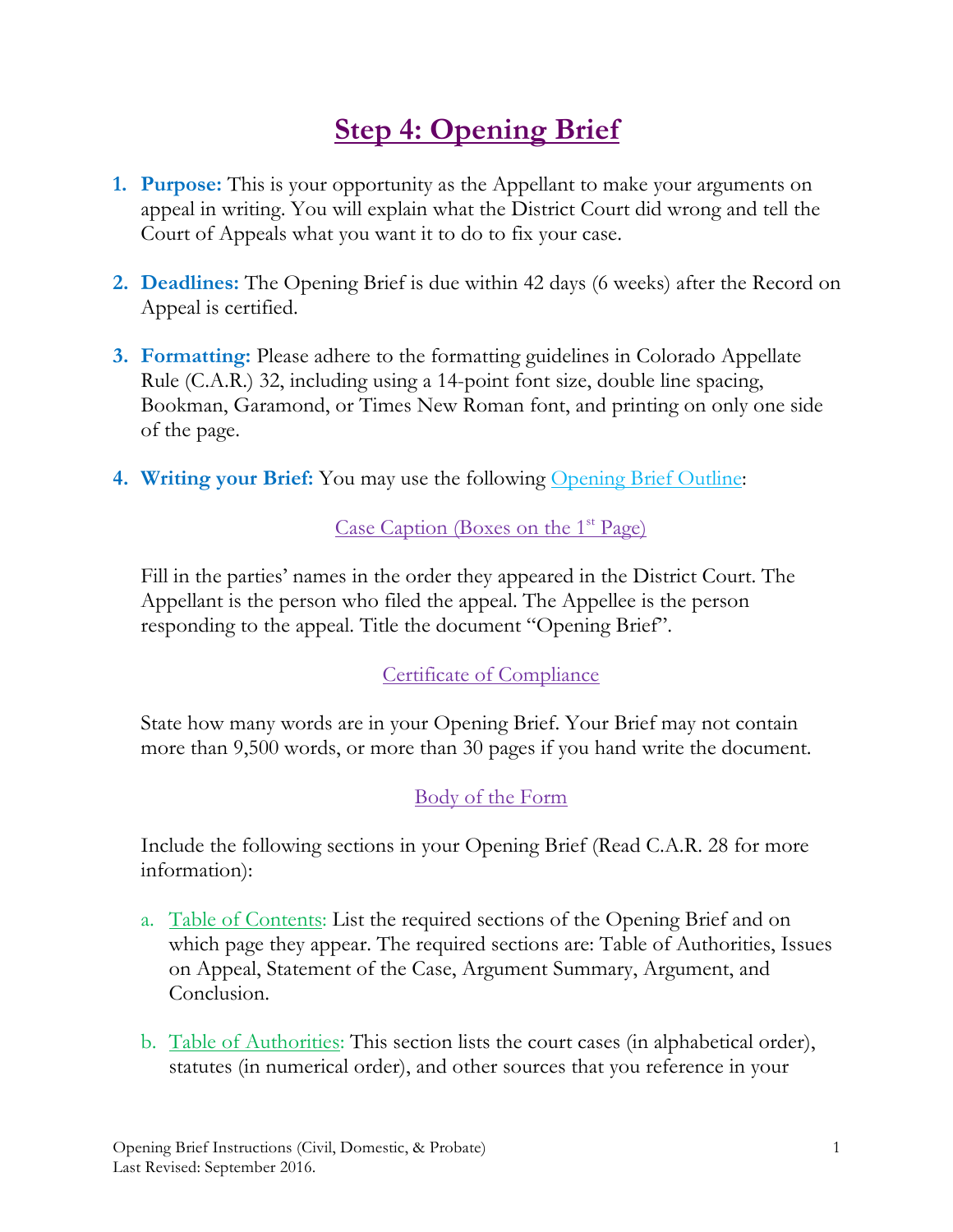# **Step 4: Opening Brief**

- **1. Purpose:** This is your opportunity as the Appellant to make your arguments on appeal in writing. You will explain what the District Court did wrong and tell the Court of Appeals what you want it to do to fix your case.
- **2. Deadlines:** The Opening Brief is due within 42 days (6 weeks) after the Record on Appeal is certified.
- **3. Formatting:** Please adhere to the formatting guidelines in Colorado Appellate Rule (C.A.R.) 32, including using a 14-point font size, double line spacing, Bookman, Garamond, or Times New Roman font, and printing on only one side of the page.
- **4. Writing your Brief:** You may use the following Opening Brief Outline:

## Case Caption (Boxes on the  $1<sup>st</sup> Page$ )

Fill in the parties' names in the order they appeared in the District Court. The Appellant is the person who filed the appeal. The Appellee is the person responding to the appeal. Title the document "Opening Brief".

#### Certificate of Compliance

State how many words are in your Opening Brief. Your Brief may not contain more than 9,500 words, or more than 30 pages if you hand write the document.

## Body of the Form

Include the following sections in your Opening Brief (Read C.A.R. 28 for more information):

- a. Table of Contents: List the required sections of the Opening Brief and on which page they appear. The required sections are: Table of Authorities, Issues on Appeal, Statement of the Case, Argument Summary, Argument, and Conclusion.
- b. Table of Authorities: This section lists the court cases (in alphabetical order), statutes (in numerical order), and other sources that you reference in your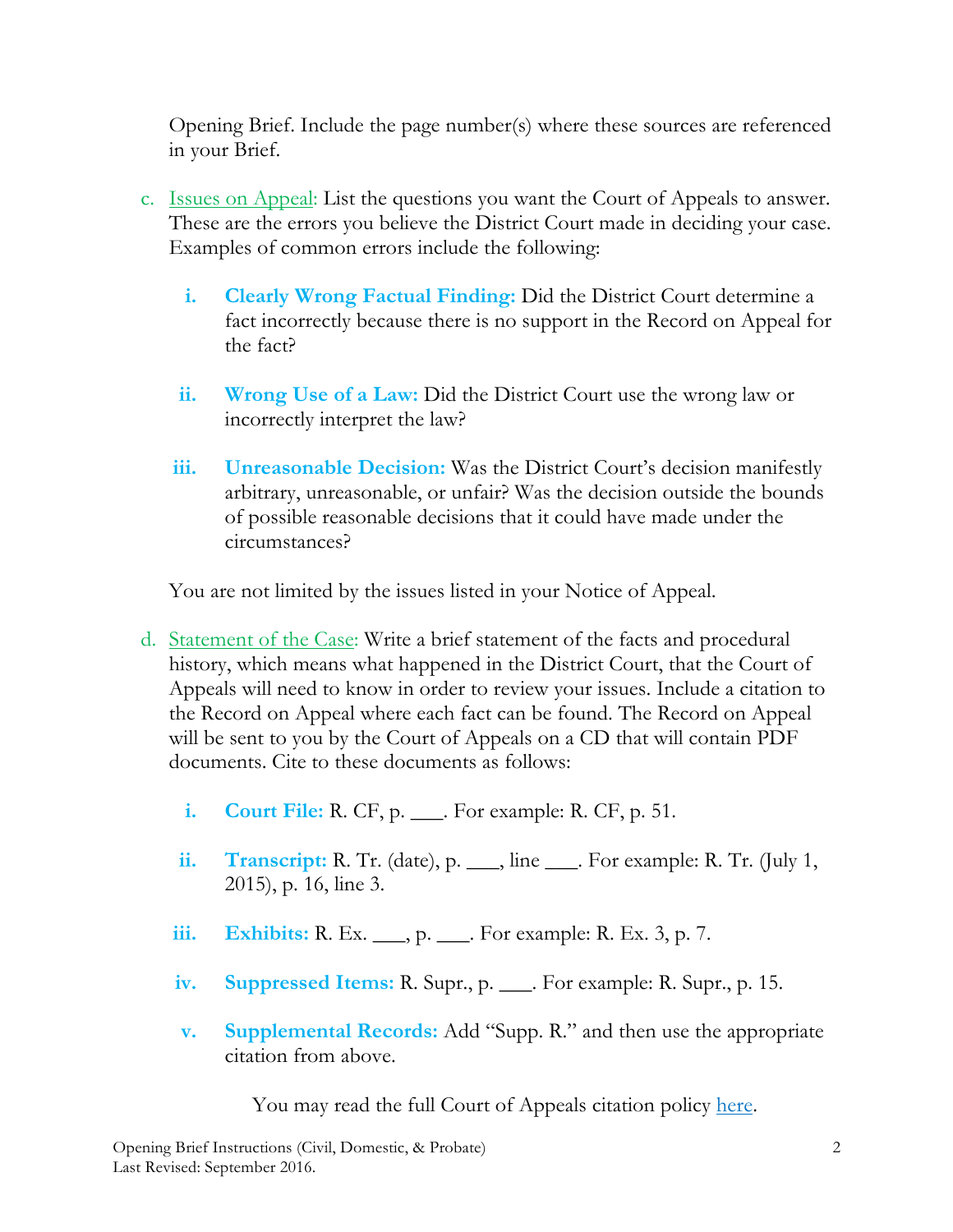Opening Brief. Include the page number(s) where these sources are referenced in your Brief.

- c. Issues on Appeal: List the questions you want the Court of Appeals to answer. These are the errors you believe the District Court made in deciding your case. Examples of common errors include the following:
	- **i. Clearly Wrong Factual Finding:** Did the District Court determine a fact incorrectly because there is no support in the Record on Appeal for the fact?
	- **ii. Wrong Use of a Law:** Did the District Court use the wrong law or incorrectly interpret the law?
	- **iii. Unreasonable Decision:** Was the District Court's decision manifestly arbitrary, unreasonable, or unfair? Was the decision outside the bounds of possible reasonable decisions that it could have made under the circumstances?

You are not limited by the issues listed in your Notice of Appeal.

- d. Statement of the Case: Write a brief statement of the facts and procedural history, which means what happened in the District Court, that the Court of Appeals will need to know in order to review your issues. Include a citation to the Record on Appeal where each fact can be found. The Record on Appeal will be sent to you by the Court of Appeals on a CD that will contain PDF documents. Cite to these documents as follows:
	- **i. Court File:** R. CF, p. \_\_\_. For example: R. CF, p. 51.
	- **ii. Transcript:** R. Tr. (date), p. \_\_\_, line \_\_\_. For example: R. Tr. (July 1, 2015), p. 16, line 3.
	- **iii. Exhibits:** R. Ex. \_\_\_, p. \_\_\_. For example: R. Ex. 3, p. 7.
	- **iv. Suppressed Items:** R. Supr., p. \_\_\_. For example: R. Supr., p. 15.
	- **v. Supplemental Records:** Add "Supp. R." and then use the appropriate citation from above.

You may read the full Court of Appeals citation policy [here.](https://www.courts.state.co.us/userfiles/file/Court_Probation/Court_Of_Appeals/Forms/Attachment%201%20-%20Record%20Citation%20Policy.pdf)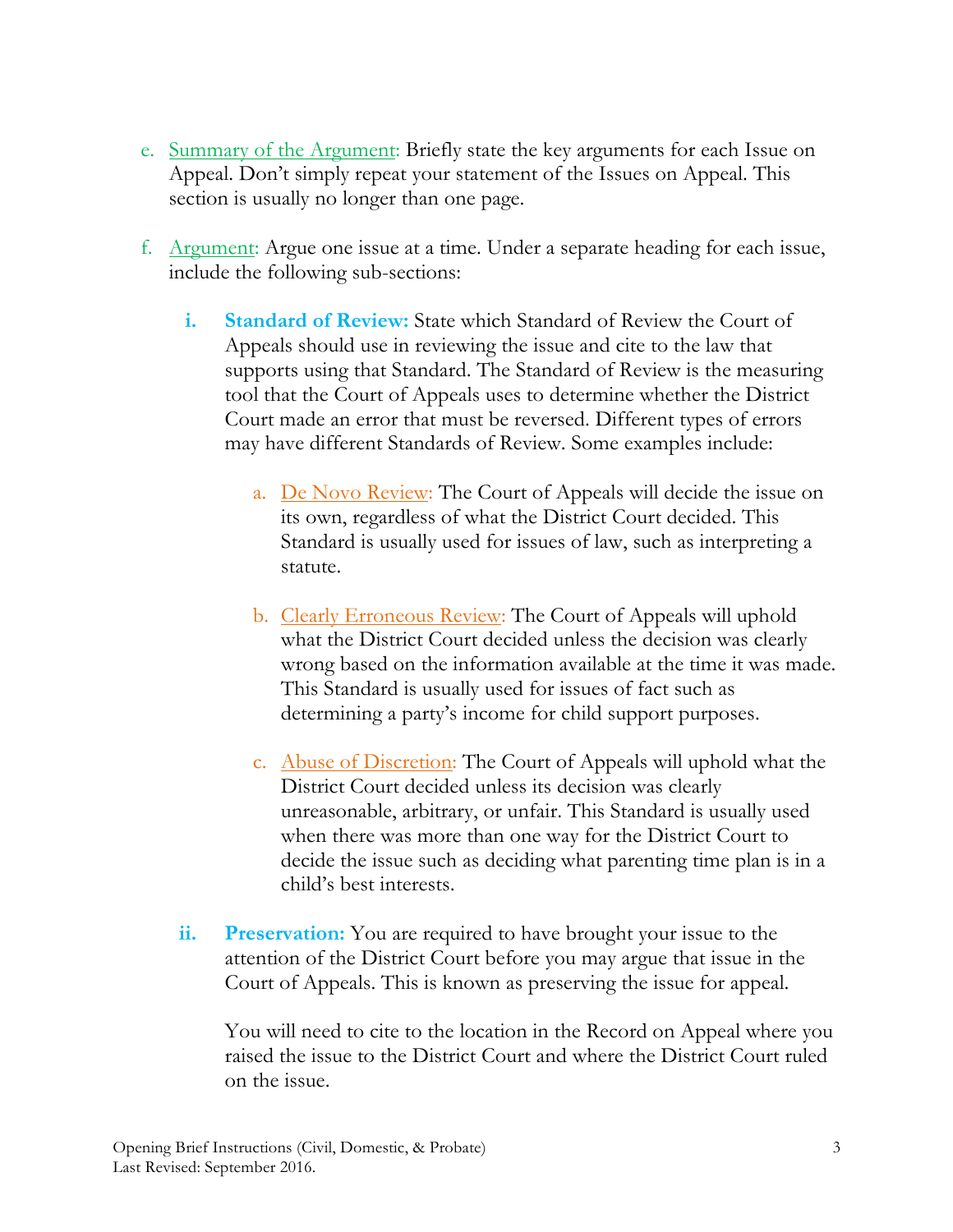- e. Summary of the Argument: Briefly state the key arguments for each Issue on Appeal. Don't simply repeat your statement of the Issues on Appeal. This section is usually no longer than one page.
- f. Argument: Argue one issue at a time. Under a separate heading for each issue, include the following sub-sections:
	- **i. Standard of Review:** State which Standard of Review the Court of Appeals should use in reviewing the issue and cite to the law that supports using that Standard. The Standard of Review is the measuring tool that the Court of Appeals uses to determine whether the District Court made an error that must be reversed. Different types of errors may have different Standards of Review. Some examples include:
		- a. <u>De Novo Review</u>: The Court of Appeals will decide the issue on its own, regardless of what the District Court decided. This Standard is usually used for issues of law, such as interpreting a statute.
		- b. Clearly Erroneous Review: The Court of Appeals will uphold what the District Court decided unless the decision was clearly wrong based on the information available at the time it was made. This Standard is usually used for issues of fact such as determining a party's income for child support purposes.
		- c. Abuse of Discretion: The Court of Appeals will uphold what the District Court decided unless its decision was clearly unreasonable, arbitrary, or unfair. This Standard is usually used when there was more than one way for the District Court to decide the issue such as deciding what parenting time plan is in a child's best interests.
	- **ii. Preservation:** You are required to have brought your issue to the attention of the District Court before you may argue that issue in the Court of Appeals. This is known as preserving the issue for appeal.

You will need to cite to the location in the Record on Appeal where you raised the issue to the District Court and where the District Court ruled on the issue.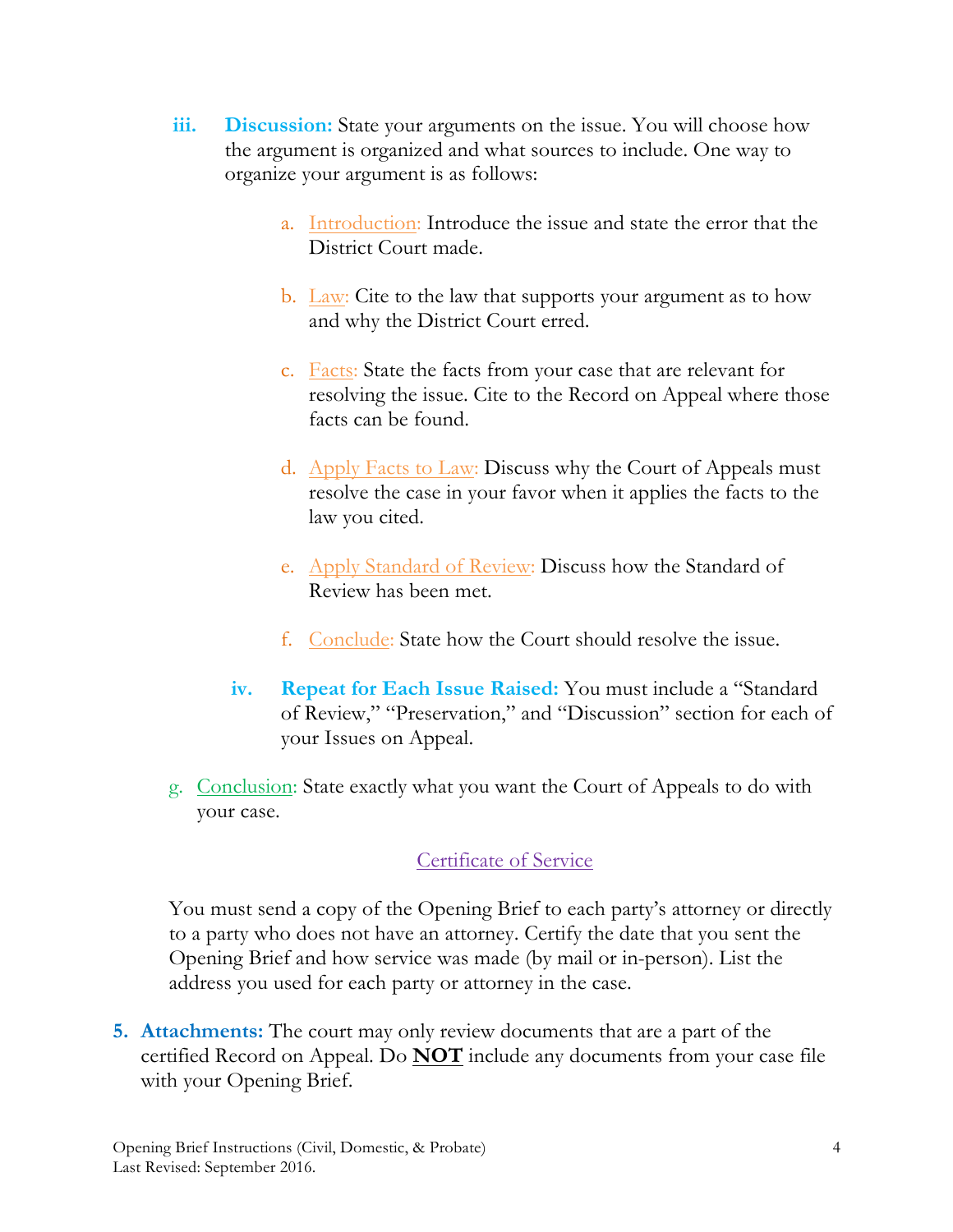- **iii. Discussion:** State your arguments on the issue. You will choose how the argument is organized and what sources to include. One way to organize your argument is as follows:
	- a. Introduction: Introduce the issue and state the error that the District Court made.
	- b.  $\text{Law:}$  Cite to the law that supports your argument as to how and why the District Court erred.
	- c. Facts: State the facts from your case that are relevant for resolving the issue. Cite to the Record on Appeal where those facts can be found.
	- d. Apply Facts to Law: Discuss why the Court of Appeals must resolve the case in your favor when it applies the facts to the law you cited.
	- e. Apply Standard of Review: Discuss how the Standard of Review has been met.
	- f. Conclude: State how the Court should resolve the issue.
	- **iv. Repeat for Each Issue Raised:** You must include a "Standard of Review," "Preservation," and "Discussion" section for each of your Issues on Appeal.
- g. Conclusion: State exactly what you want the Court of Appeals to do with your case.

#### Certificate of Service

You must send a copy of the Opening Brief to each party's attorney or directly to a party who does not have an attorney. Certify the date that you sent the Opening Brief and how service was made (by mail or in-person). List the address you used for each party or attorney in the case.

**5. Attachments:** The court may only review documents that are a part of the certified Record on Appeal. Do **NOT** include any documents from your case file with your Opening Brief.